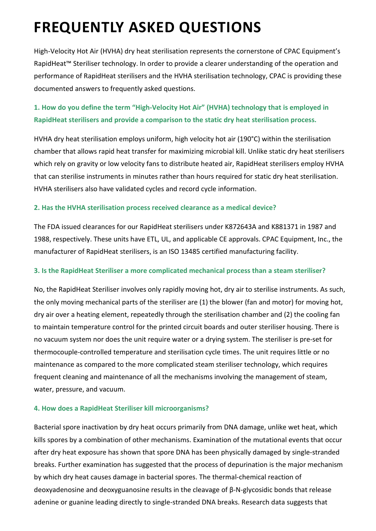# **FREQUENTLY ASKED QUESTIONS**

High-Velocity Hot Air (HVHA) dry heat sterilisation represents the cornerstone of CPAC Equipment's RapidHeat™ Steriliser technology. In order to provide a clearer understanding of the operation and performance of RapidHeat sterilisers and the HVHA sterilisation technology, CPAC is providing these documented answers to frequently asked questions.

# **1. How do you define the term "High-Velocity Hot Air" (HVHA) technology that is employed in RapidHeat sterilisers and provide a comparison to the static dry heat sterilisation process.**

HVHA dry heat sterilisation employs uniform, high velocity hot air (190°C) within the sterilisation chamber that allows rapid heat transfer for maximizing microbial kill. Unlike static dry heat sterilisers which rely on gravity or low velocity fans to distribute heated air, RapidHeat sterilisers employ HVHA that can sterilise instruments in minutes rather than hours required for static dry heat sterilisation. HVHA sterilisers also have validated cycles and record cycle information.

## **2. Has the HVHA sterilisation process received clearance as a medical device?**

The FDA issued clearances for our RapidHeat sterilisers under K872643A and K881371 in 1987 and 1988, respectively. These units have ETL, UL, and applicable CE approvals. CPAC Equipment, Inc., the manufacturer of RapidHeat sterilisers, is an ISO 13485 certified manufacturing facility.

#### **3. Is the RapidHeat Steriliser a more complicated mechanical process than a steam steriliser?**

No, the RapidHeat Steriliser involves only rapidly moving hot, dry air to sterilise instruments. As such, the only moving mechanical parts of the steriliser are (1) the blower (fan and motor) for moving hot, dry air over a heating element, repeatedly through the sterilisation chamber and (2) the cooling fan to maintain temperature control for the printed circuit boards and outer steriliser housing. There is no vacuum system nor does the unit require water or a drying system. The steriliser is pre-set for thermocouple-controlled temperature and sterilisation cycle times. The unit requires little or no maintenance as compared to the more complicated steam steriliser technology, which requires frequent cleaning and maintenance of all the mechanisms involving the management of steam, water, pressure, and vacuum.

#### **4. How does a RapidHeat Steriliser kill microorganisms?**

Bacterial spore inactivation by dry heat occurs primarily from DNA damage, unlike wet heat, which kills spores by a combination of other mechanisms. Examination of the mutational events that occur after dry heat exposure has shown that spore DNA has been physically damaged by single-stranded breaks. Further examination has suggested that the process of depurination is the major mechanism by which dry heat causes damage in bacterial spores. The thermal-chemical reaction of deoxyadenosine and deoxyguanosine results in the cleavage of β-N-glycosidic bonds that release adenine or guanine leading directly to single-stranded DNA breaks. Research data suggests that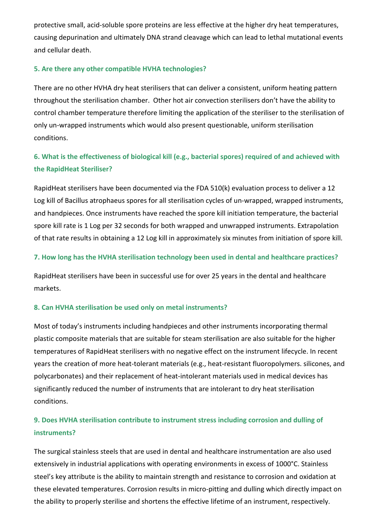protective small, acid-soluble spore proteins are less effective at the higher dry heat temperatures, causing depurination and ultimately DNA strand cleavage which can lead to lethal mutational events and cellular death.

## **5. Are there any other compatible HVHA technologies?**

There are no other HVHA dry heat sterilisers that can deliver a consistent, uniform heating pattern throughout the sterilisation chamber. Other hot air convection sterilisers don't have the ability to control chamber temperature therefore limiting the application of the steriliser to the sterilisation of only un-wrapped instruments which would also present questionable, uniform sterilisation conditions.

# **6. What is the effectiveness of biological kill (e.g., bacterial spores) required of and achieved with the RapidHeat Steriliser?**

RapidHeat sterilisers have been documented via the FDA 510(k) evaluation process to deliver a 12 Log kill of Bacillus atrophaeus spores for all sterilisation cycles of un-wrapped, wrapped instruments, and handpieces. Once instruments have reached the spore kill initiation temperature, the bacterial spore kill rate is 1 Log per 32 seconds for both wrapped and unwrapped instruments. Extrapolation of that rate results in obtaining a 12 Log kill in approximately six minutes from initiation of spore kill.

## **7. How long has the HVHA sterilisation technology been used in dental and healthcare practices?**

RapidHeat sterilisers have been in successful use for over 25 years in the dental and healthcare markets.

## **8. Can HVHA sterilisation be used only on metal instruments?**

Most of today's instruments including handpieces and other instruments incorporating thermal plastic composite materials that are suitable for steam sterilisation are also suitable for the higher temperatures of RapidHeat sterilisers with no negative effect on the instrument lifecycle. In recent years the creation of more heat-tolerant materials (e.g., heat-resistant fluoropolymers. silicones, and polycarbonates) and their replacement of heat-intolerant materials used in medical devices has significantly reduced the number of instruments that are intolerant to dry heat sterilisation conditions.

## **9. Does HVHA sterilisation contribute to instrument stress including corrosion and dulling of instruments?**

The surgical stainless steels that are used in dental and healthcare instrumentation are also used extensively in industrial applications with operating environments in excess of 1000°C. Stainless steel's key attribute is the ability to maintain strength and resistance to corrosion and oxidation at these elevated temperatures. Corrosion results in micro-pitting and dulling which directly impact on the ability to properly sterilise and shortens the effective lifetime of an instrument, respectively.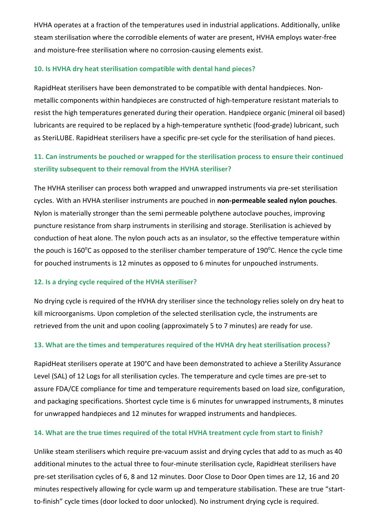HVHA operates at a fraction of the temperatures used in industrial applications. Additionally, unlike steam sterilisation where the corrodible elements of water are present, HVHA employs water-free and moisture-free sterilisation where no corrosion-causing elements exist.

#### **10. Is HVHA dry heat sterilisation compatible with dental hand pieces?**

RapidHeat sterilisers have been demonstrated to be compatible with dental handpieces. Nonmetallic components within handpieces are constructed of high-temperature resistant materials to resist the high temperatures generated during their operation. Handpiece organic (mineral oil based) lubricants are required to be replaced by a high-temperature synthetic (food-grade) lubricant, such as SteriLUBE. RapidHeat sterilisers have a specific pre-set cycle for the sterilisation of hand pieces.

## **11. Can instruments be pouched or wrapped for the sterilisation process to ensure their continued sterility subsequent to their removal from the HVHA steriliser?**

The HVHA steriliser can process both wrapped and unwrapped instruments via pre-set sterilisation cycles. With an HVHA steriliser instruments are pouched in **non-permeable sealed nylon pouches**. Nylon is materially stronger than the semi permeable polythene autoclave pouches, improving puncture resistance from sharp instruments in sterilising and storage. Sterilisation is achieved by conduction of heat alone. The nylon pouch acts as an insulator, so the effective temperature within the pouch is 160°C as opposed to the steriliser chamber temperature of 190°C. Hence the cycle time for pouched instruments is 12 minutes as opposed to 6 minutes for unpouched instruments.

#### **12. Is a drying cycle required of the HVHA steriliser?**

No drying cycle is required of the HVHA dry steriliser since the technology relies solely on dry heat to kill microorganisms. Upon completion of the selected sterilisation cycle, the instruments are retrieved from the unit and upon cooling (approximately 5 to 7 minutes) are ready for use.

#### **13. What are the times and temperatures required of the HVHA dry heat sterilisation process?**

RapidHeat sterilisers operate at 190°C and have been demonstrated to achieve a Sterility Assurance Level (SAL) of 12 Logs for all sterilisation cycles. The temperature and cycle times are pre-set to assure FDA/CE compliance for time and temperature requirements based on load size, configuration, and packaging specifications. Shortest cycle time is 6 minutes for unwrapped instruments, 8 minutes for unwrapped handpieces and 12 minutes for wrapped instruments and handpieces.

#### **14. What are the true times required of the total HVHA treatment cycle from start to finish?**

Unlike steam sterilisers which require pre-vacuum assist and drying cycles that add to as much as 40 additional minutes to the actual three to four-minute sterilisation cycle, RapidHeat sterilisers have pre-set sterilisation cycles of 6, 8 and 12 minutes. Door Close to Door Open times are 12, 16 and 20 minutes respectively allowing for cycle warm up and temperature stabilisation. These are true "startto-finish" cycle times (door locked to door unlocked). No instrument drying cycle is required.